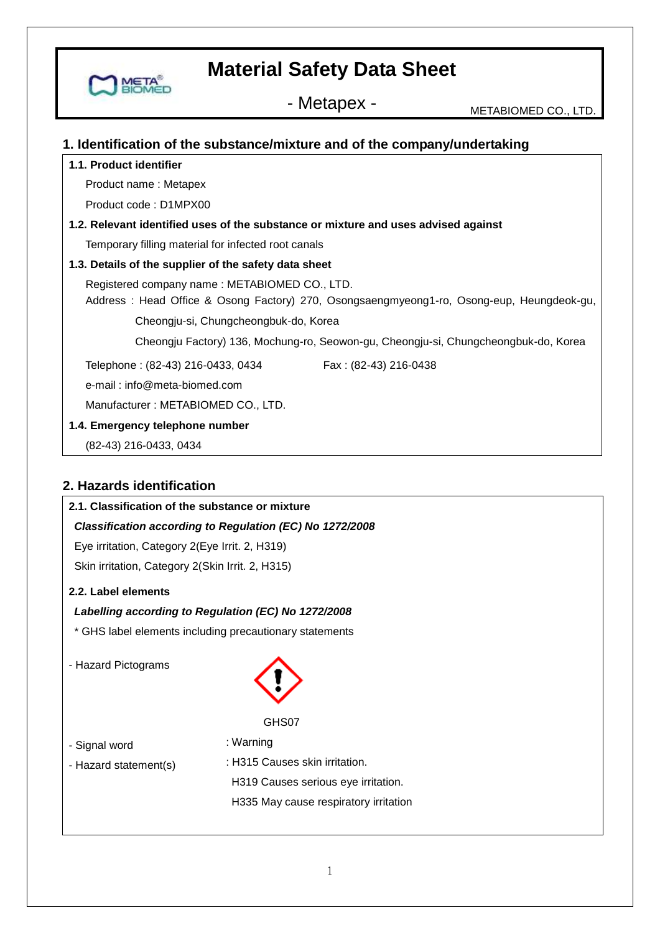

- Metapex - Metabiomed Co., LTD.

### **1. Identification of the substance/mixture and of the company/undertaking**

#### **1.1. Product identifier**

Product name : Metapex

Product code : D1MPX00

## **1.2. Relevant identified uses of the substance or mixture and uses advised against**

Temporary filling material for infected root canals

#### **1.3. Details of the supplier of the safety data sheet**

Registered company name : METABIOMED CO., LTD.

 Address : Head Office & Osong Factory) 270, Osongsaengmyeong1-ro, Osong-eup, Heungdeok-gu, Cheongju-si, Chungcheongbuk-do, Korea

Cheongju Factory) 136, Mochung-ro, Seowon-gu, Cheongju-si, Chungcheongbuk-do, Korea

Telephone: (82-43) 216-0433, 0434 Fax: (82-43) 216-0438

e-mail : info@meta-biomed.com

Manufacturer : METABIOMED CO., LTD.

#### **1.4. Emergency telephone number**

(82-43) 216-0433, 0434

## **2. Hazards identification**

## **2.1. Classification of the substance or mixture**

### *Classification according to Regulation (EC) No 1272/2008*

Eye irritation, Category 2(Eye Irrit. 2, H319) Skin irritation, Category 2(Skin Irrit. 2, H315)

#### **2.2. Label elements**

### *Labelling according to Regulation (EC) No 1272/2008*

- \* GHS label elements including precautionary statements
- Hazard Pictograms



#### GHS07

- Signal word
- : Warning
- Hazard statement(s)
- : H315 Causes skin irritation. H319 Causes serious eye irritation.

H335 May cause respiratory irritation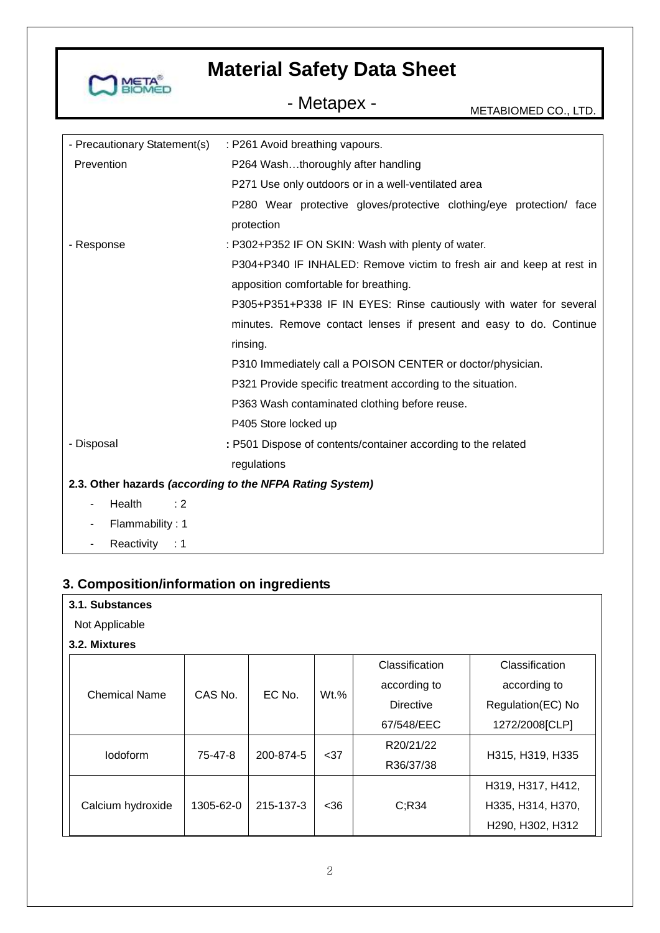

- Metapex - METABIOMED CO., LTD.

| - Precautionary Statement(s) | : P261 Avoid breathing vapours.                                      |  |  |
|------------------------------|----------------------------------------------------------------------|--|--|
| Prevention                   | P264 Washthoroughly after handling                                   |  |  |
|                              | P271 Use only outdoors or in a well-ventilated area                  |  |  |
|                              | P280 Wear protective gloves/protective clothing/eye protection/ face |  |  |
|                              | protection                                                           |  |  |
| - Response                   | : P302+P352 IF ON SKIN: Wash with plenty of water.                   |  |  |
|                              | P304+P340 IF INHALED: Remove victim to fresh air and keep at rest in |  |  |
|                              | apposition comfortable for breathing.                                |  |  |
|                              | P305+P351+P338 IF IN EYES: Rinse cautiously with water for several   |  |  |
|                              | minutes. Remove contact lenses if present and easy to do. Continue   |  |  |
|                              | rinsing.                                                             |  |  |
|                              | P310 Immediately call a POISON CENTER or doctor/physician.           |  |  |
|                              | P321 Provide specific treatment according to the situation.          |  |  |
|                              | P363 Wash contaminated clothing before reuse.                        |  |  |
|                              | P405 Store locked up                                                 |  |  |
| - Disposal                   | : P501 Dispose of contents/container according to the related        |  |  |
|                              | regulations                                                          |  |  |
|                              | 2.3. Other hazards (according to the NFPA Rating System)             |  |  |
| Health<br>: 2<br>٠           |                                                                      |  |  |
| Flammability: 1              |                                                                      |  |  |
| Reactivity : 1               |                                                                      |  |  |

## **3. Composition/information on ingredients**

| 3.1. Substances      |           |                   |         |                  |                   |
|----------------------|-----------|-------------------|---------|------------------|-------------------|
| Not Applicable       |           |                   |         |                  |                   |
| 3.2. Mixtures        |           |                   |         |                  |                   |
|                      |           |                   |         | Classification   | Classification    |
|                      | CAS No.   | EC No.            | $Wt.$ % | according to     | according to      |
| <b>Chemical Name</b> |           |                   |         | <b>Directive</b> | Regulation(EC) No |
|                      |           |                   |         | 67/548/EEC       | 1272/2008[CLP]    |
|                      |           |                   |         | R20/21/22        |                   |
| lodoform             | 75-47-8   | 200-874-5<br>$37$ |         | R36/37/38        | H315, H319, H335  |
|                      |           |                   |         |                  | H319, H317, H412, |
| Calcium hydroxide    | 1305-62-0 | 215-137-3         | $<$ 36  | C; R34           | H335, H314, H370, |
|                      |           |                   |         |                  | H290, H302, H312  |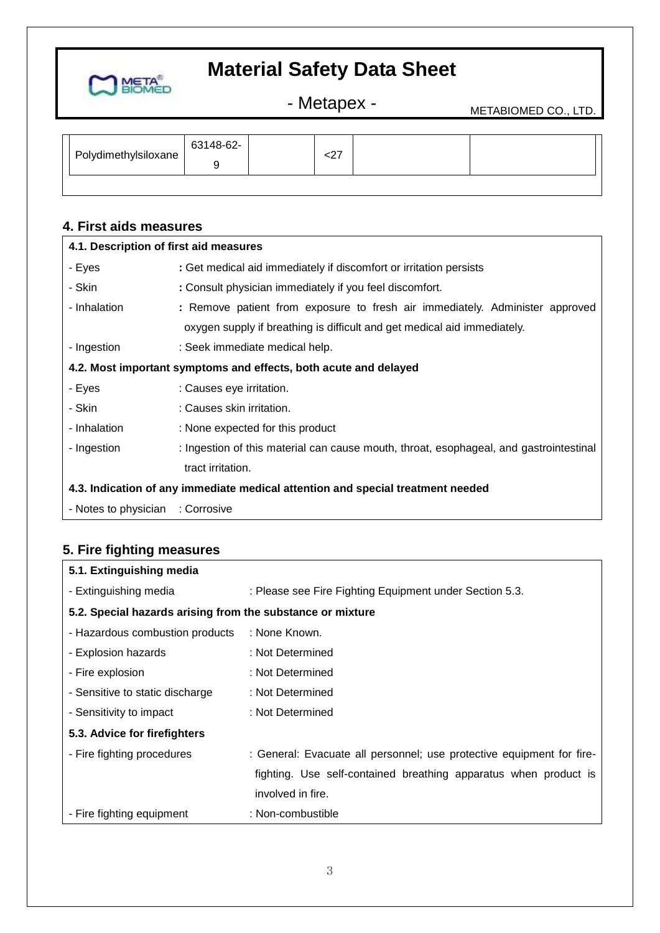

- Metapex - METABIOMED CO., LTD.

| Polydimethylsiloxane | 63148-62- | $\sim$<br>∼∠ |  |  |
|----------------------|-----------|--------------|--|--|
|                      |           |              |  |  |

## **4. First aids measures**

| 4.1. Description of first aid measures |                                                                                        |
|----------------------------------------|----------------------------------------------------------------------------------------|
| - Eyes                                 | : Get medical aid immediately if discomfort or irritation persists                     |
| - Skin                                 | : Consult physician immediately if you feel discomfort.                                |
| - Inhalation                           | : Remove patient from exposure to fresh air immediately. Administer approved           |
|                                        | oxygen supply if breathing is difficult and get medical aid immediately.               |
| - Ingestion                            | : Seek immediate medical help.                                                         |
|                                        | 4.2. Most important symptoms and effects, both acute and delayed                       |
| - Eyes                                 | : Causes eye irritation.                                                               |
| - Skin                                 | : Causes skin irritation.                                                              |
| - Inhalation                           | : None expected for this product                                                       |
| - Ingestion                            | : Ingestion of this material can cause mouth, throat, esophageal, and gastrointestinal |
|                                        | tract irritation.                                                                      |
|                                        | 4.3. Indication of any immediate medical attention and special treatment needed        |
| - Notes to physician                   | : Corrosive                                                                            |

## **5. Fire fighting measures**

| 5.1. Extinguishing media                                   |                                                                       |  |  |
|------------------------------------------------------------|-----------------------------------------------------------------------|--|--|
| - Extinguishing media                                      | : Please see Fire Fighting Equipment under Section 5.3.               |  |  |
| 5.2. Special hazards arising from the substance or mixture |                                                                       |  |  |
| - Hazardous combustion products                            | : None Known.                                                         |  |  |
| - Explosion hazards                                        | : Not Determined                                                      |  |  |
| - Fire explosion                                           | : Not Determined                                                      |  |  |
| - Sensitive to static discharge                            | : Not Determined                                                      |  |  |
| - Sensitivity to impact                                    | : Not Determined                                                      |  |  |
| 5.3. Advice for firefighters                               |                                                                       |  |  |
| - Fire fighting procedures                                 | : General: Evacuate all personnel; use protective equipment for fire- |  |  |
|                                                            | fighting. Use self-contained breathing apparatus when product is      |  |  |
|                                                            | involved in fire.                                                     |  |  |
| - Fire fighting equipment                                  | : Non-combustible                                                     |  |  |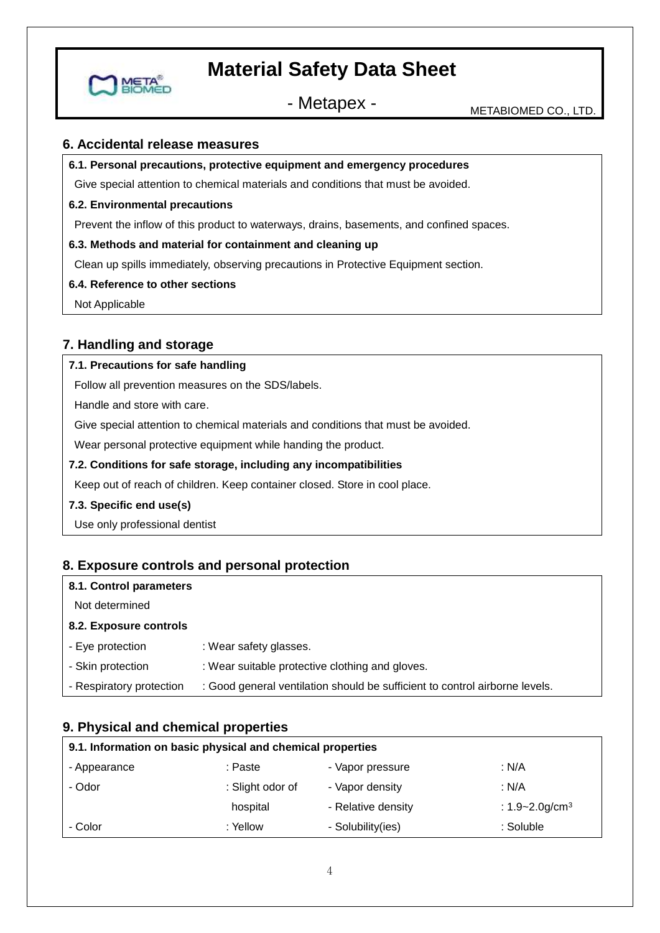

- Metapex - METABIOMED CO., LTD.

### **6. Accidental release measures**

#### **6.1. Personal precautions, protective equipment and emergency procedures**

Give special attention to chemical materials and conditions that must be avoided.

#### **6.2. Environmental precautions**

Prevent the inflow of this product to waterways, drains, basements, and confined spaces.

#### **6.3. Methods and material for containment and cleaning up**

Clean up spills immediately, observing precautions in Protective Equipment section.

#### **6.4. Reference to other sections**

Not Applicable

## **7. Handling and storage**

#### **7.1. Precautions for safe handling**

Follow all prevention measures on the SDS/labels.

Handle and store with care.

Give special attention to chemical materials and conditions that must be avoided.

Wear personal protective equipment while handing the product.

#### **7.2. Conditions for safe storage, including any incompatibilities**

Keep out of reach of children. Keep container closed. Store in cool place.

#### **7.3. Specific end use(s)**

Use only professional dentist

## **8. Exposure controls and personal protection**

#### **8.1. Control parameters**

Not determined

#### **8.2. Exposure controls**

- Eye protection : Wear safety glasses.
- Skin protection : Wear suitable protective clothing and gloves.
- Respiratory protection : Good general ventilation should be sufficient to control airborne levels.

### **9. Physical and chemical properties**

| 9.1. Information on basic physical and chemical properties |                  |                    |                                 |  |  |
|------------------------------------------------------------|------------------|--------------------|---------------------------------|--|--|
| - Appearance                                               | : Paste          | - Vapor pressure   | : N/A                           |  |  |
| - Odor                                                     | : Slight odor of | - Vapor density    | : N/A                           |  |  |
|                                                            | hospital         | - Relative density | : $1.9 - 2.0$ g/cm <sup>3</sup> |  |  |
| - Color                                                    | : Yellow         | - Solubility(ies)  | : Soluble                       |  |  |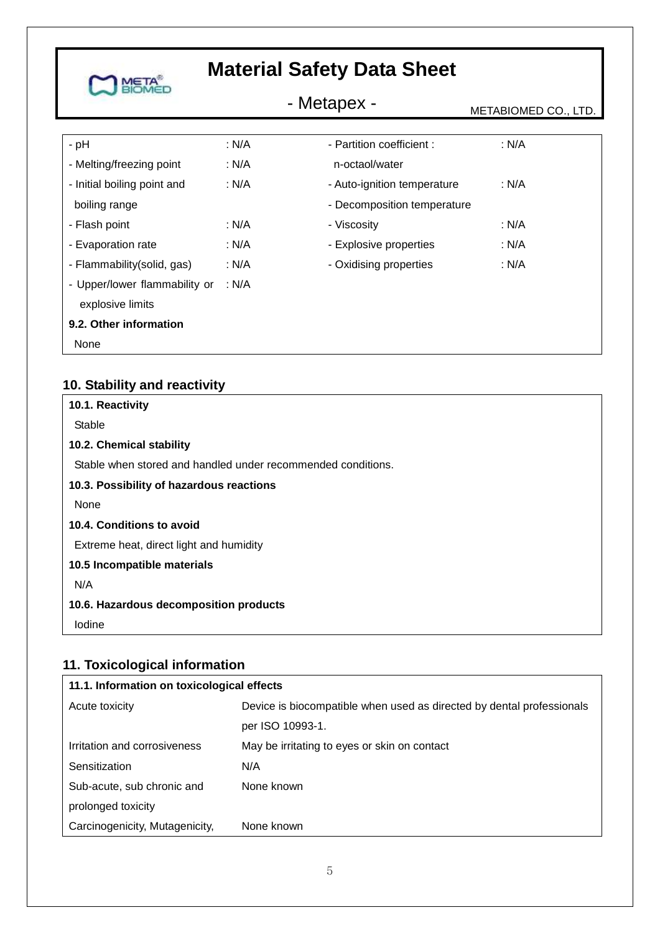| <b>IETA</b>                   | <b>Material Safety Data Sheet</b> |                             |                      |  |
|-------------------------------|-----------------------------------|-----------------------------|----------------------|--|
|                               | - Metapex -                       |                             | METABIOMED CO., LTD. |  |
| $-$ pH                        | : N/A                             | - Partition coefficient :   | : N/A                |  |
| - Melting/freezing point      | : N/A                             | n-octaol/water              |                      |  |
| - Initial boiling point and   | : N/A                             | - Auto-ignition temperature | : N/A                |  |
| boiling range                 |                                   | - Decomposition temperature |                      |  |
| - Flash point                 | : N/A                             | - Viscosity                 | : N/A                |  |
| - Evaporation rate            | : N/A                             | - Explosive properties      | : N/A                |  |
| - Flammability(solid, gas)    | : N/A                             | - Oxidising properties      | : N/A                |  |
| - Upper/lower flammability or | : $N/A$                           |                             |                      |  |
| explosive limits              |                                   |                             |                      |  |
| 9.2. Other information        |                                   |                             |                      |  |
| None                          |                                   |                             |                      |  |

## **10. Stability and reactivity**

| 10.1. Reactivity                                             |
|--------------------------------------------------------------|
| Stable                                                       |
| 10.2. Chemical stability                                     |
| Stable when stored and handled under recommended conditions. |
| 10.3. Possibility of hazardous reactions                     |
| None                                                         |
| 10.4. Conditions to avoid                                    |
| Extreme heat, direct light and humidity                      |
| 10.5 Incompatible materials                                  |
| N/A                                                          |
| 10.6. Hazardous decomposition products                       |
| Iodine                                                       |

## **11. Toxicological information**

| 11.1. Information on toxicological effects |                                                                       |  |  |
|--------------------------------------------|-----------------------------------------------------------------------|--|--|
| Acute toxicity                             | Device is biocompatible when used as directed by dental professionals |  |  |
|                                            | per ISO 10993-1.                                                      |  |  |
| Irritation and corrosiveness               | May be irritating to eyes or skin on contact                          |  |  |
| Sensitization                              | N/A                                                                   |  |  |
| Sub-acute, sub chronic and                 | None known                                                            |  |  |
| prolonged toxicity                         |                                                                       |  |  |
| Carcinogenicity, Mutagenicity,             | None known                                                            |  |  |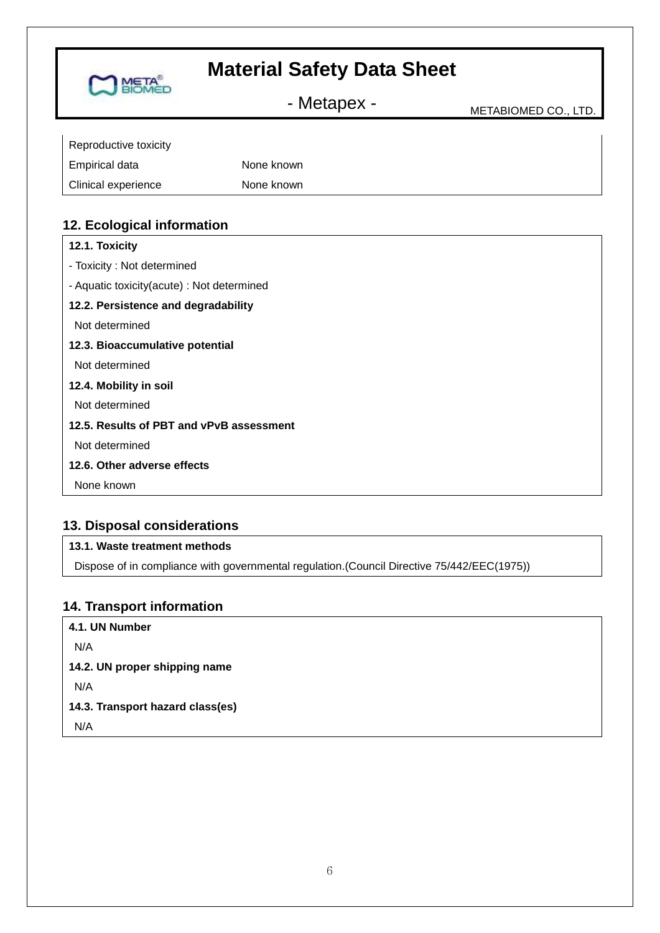- Metapex - Metabiomed CO., LTD.

| Reproductive toxicity |            |
|-----------------------|------------|
| Empirical data        | None known |
| Clinical experience   | None known |

## **12. Ecological information**

**META<sup>®</sup>** 

## **13. Disposal considerations**

## **13.1. Waste treatment methods**

Dispose of in compliance with governmental regulation.(Council Directive 75/442/EEC(1975))

### **14. Transport information**

**4.1. UN Number** N/A **14.2. UN proper shipping name**  N/A **14.3. Transport hazard class(es)** N/A